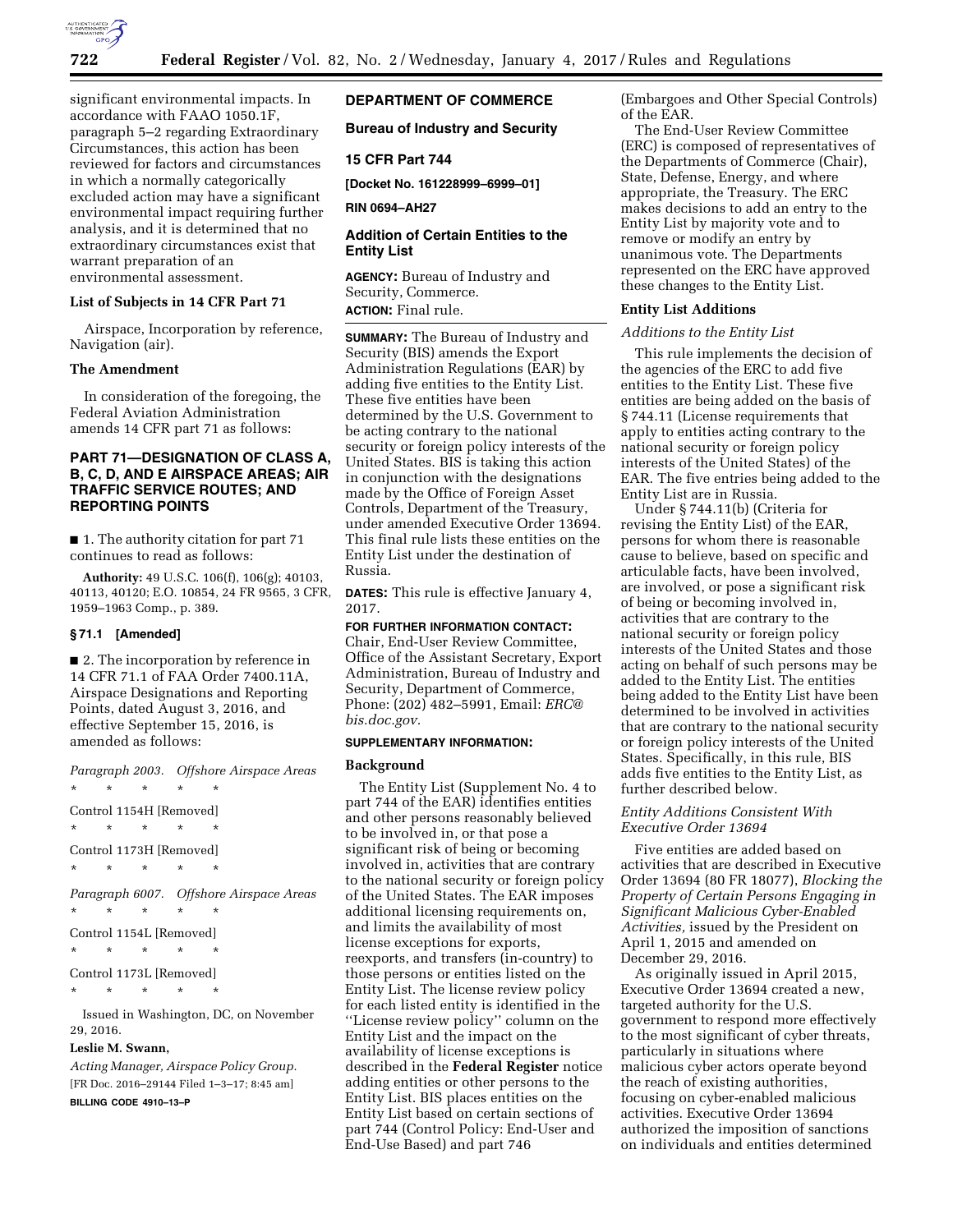

significant environmental impacts. In accordance with FAAO 1050.1F, paragraph 5–2 regarding Extraordinary Circumstances, this action has been reviewed for factors and circumstances in which a normally categorically excluded action may have a significant environmental impact requiring further analysis, and it is determined that no extraordinary circumstances exist that warrant preparation of an environmental assessment.

### **List of Subjects in 14 CFR Part 71**

Airspace, Incorporation by reference, Navigation (air).

### **The Amendment**

In consideration of the foregoing, the Federal Aviation Administration amends 14 CFR part 71 as follows:

# **PART 71—DESIGNATION OF CLASS A, B, C, D, AND E AIRSPACE AREAS; AIR TRAFFIC SERVICE ROUTES; AND REPORTING POINTS**

■ 1. The authority citation for part 71 continues to read as follows:

**Authority:** 49 U.S.C. 106(f), 106(g); 40103, 40113, 40120; E.O. 10854, 24 FR 9565, 3 CFR, 1959–1963 Comp., p. 389.

#### **§ 71.1 [Amended]**

■ 2. The incorporation by reference in 14 CFR 71.1 of FAA Order 7400.11A, Airspace Designations and Reporting Points, dated August 3, 2016, and effective September 15, 2016, is amended as follows:

*Paragraph 2003. Offshore Airspace Areas*  \* \* \* \* \* Control 1154H [Removed] \* \* \* \* \* Control 1173H [Removed] \* \* \* \* \* *Paragraph 6007. Offshore Airspace Areas*  \* \* \* \* \* Control 1154L [Removed] \* \* \* \* \* Control 1173L [Removed] \* \* \* \* \* Issued in Washington, DC, on November 29, 2016.

# **Leslie M. Swann,**

*Acting Manager, Airspace Policy Group.*  [FR Doc. 2016–29144 Filed 1–3–17; 8:45 am] **BILLING CODE 4910–13–P** 

# **DEPARTMENT OF COMMERCE**

**Bureau of Industry and Security** 

# **15 CFR Part 744**

**[Docket No. 161228999–6999–01]** 

**RIN 0694–AH27** 

# **Addition of Certain Entities to the Entity List**

**AGENCY:** Bureau of Industry and Security, Commerce. **ACTION:** Final rule.

**SUMMARY:** The Bureau of Industry and Security (BIS) amends the Export Administration Regulations (EAR) by adding five entities to the Entity List. These five entities have been determined by the U.S. Government to be acting contrary to the national security or foreign policy interests of the United States. BIS is taking this action in conjunction with the designations made by the Office of Foreign Asset Controls, Department of the Treasury, under amended Executive Order 13694. This final rule lists these entities on the Entity List under the destination of Russia.

**DATES:** This rule is effective January 4, 2017.

**FOR FURTHER INFORMATION CONTACT:**  Chair, End-User Review Committee, Office of the Assistant Secretary, Export Administration, Bureau of Industry and Security, Department of Commerce, Phone: (202) 482–5991, Email: *[ERC@](mailto:ERC@bis.doc.gov) [bis.doc.gov.](mailto:ERC@bis.doc.gov)* 

## **SUPPLEMENTARY INFORMATION:**

#### **Background**

The Entity List (Supplement No. 4 to part 744 of the EAR) identifies entities and other persons reasonably believed to be involved in, or that pose a significant risk of being or becoming involved in, activities that are contrary to the national security or foreign policy of the United States. The EAR imposes additional licensing requirements on, and limits the availability of most license exceptions for exports, reexports, and transfers (in-country) to those persons or entities listed on the Entity List. The license review policy for each listed entity is identified in the ''License review policy'' column on the Entity List and the impact on the availability of license exceptions is described in the **Federal Register** notice adding entities or other persons to the Entity List. BIS places entities on the Entity List based on certain sections of part 744 (Control Policy: End-User and End-Use Based) and part 746

(Embargoes and Other Special Controls) of the EAR.

The End-User Review Committee (ERC) is composed of representatives of the Departments of Commerce (Chair), State, Defense, Energy, and where appropriate, the Treasury. The ERC makes decisions to add an entry to the Entity List by majority vote and to remove or modify an entry by unanimous vote. The Departments represented on the ERC have approved these changes to the Entity List.

## **Entity List Additions**

### *Additions to the Entity List*

This rule implements the decision of the agencies of the ERC to add five entities to the Entity List. These five entities are being added on the basis of § 744.11 (License requirements that apply to entities acting contrary to the national security or foreign policy interests of the United States) of the EAR. The five entries being added to the Entity List are in Russia.

Under § 744.11(b) (Criteria for revising the Entity List) of the EAR, persons for whom there is reasonable cause to believe, based on specific and articulable facts, have been involved, are involved, or pose a significant risk of being or becoming involved in, activities that are contrary to the national security or foreign policy interests of the United States and those acting on behalf of such persons may be added to the Entity List. The entities being added to the Entity List have been determined to be involved in activities that are contrary to the national security or foreign policy interests of the United States. Specifically, in this rule, BIS adds five entities to the Entity List, as further described below.

## *Entity Additions Consistent With Executive Order 13694*

Five entities are added based on activities that are described in Executive Order 13694 (80 FR 18077), *Blocking the Property of Certain Persons Engaging in Significant Malicious Cyber-Enabled Activities,* issued by the President on April 1, 2015 and amended on December 29, 2016.

As originally issued in April 2015, Executive Order 13694 created a new, targeted authority for the U.S. government to respond more effectively to the most significant of cyber threats, particularly in situations where malicious cyber actors operate beyond the reach of existing authorities, focusing on cyber-enabled malicious activities. Executive Order 13694 authorized the imposition of sanctions on individuals and entities determined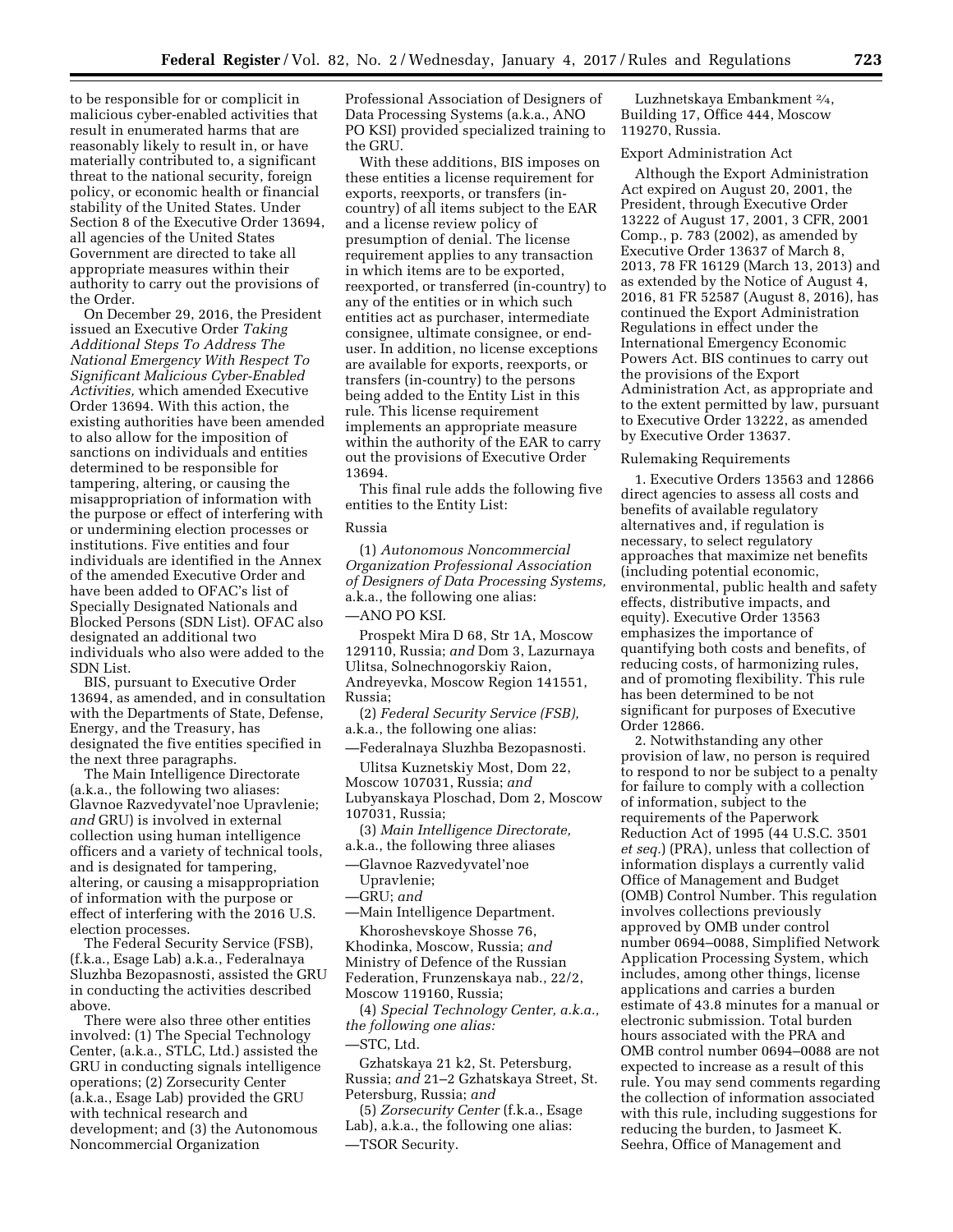to be responsible for or complicit in malicious cyber-enabled activities that result in enumerated harms that are reasonably likely to result in, or have materially contributed to, a significant threat to the national security, foreign policy, or economic health or financial stability of the United States. Under Section 8 of the Executive Order 13694, all agencies of the United States Government are directed to take all appropriate measures within their authority to carry out the provisions of the Order.

On December 29, 2016, the President issued an Executive Order *Taking Additional Steps To Address The National Emergency With Respect To Significant Malicious Cyber-Enabled Activities,* which amended Executive Order 13694. With this action, the existing authorities have been amended to also allow for the imposition of sanctions on individuals and entities determined to be responsible for tampering, altering, or causing the misappropriation of information with the purpose or effect of interfering with or undermining election processes or institutions. Five entities and four individuals are identified in the Annex of the amended Executive Order and have been added to OFAC's list of Specially Designated Nationals and Blocked Persons (SDN List). OFAC also designated an additional two individuals who also were added to the SDN List.

BIS, pursuant to Executive Order 13694, as amended, and in consultation with the Departments of State, Defense, Energy, and the Treasury, has designated the five entities specified in the next three paragraphs.

The Main Intelligence Directorate (a.k.a., the following two aliases: Glavnoe Razvedyvatel'noe Upravlenie; *and* GRU) is involved in external collection using human intelligence officers and a variety of technical tools, and is designated for tampering, altering, or causing a misappropriation of information with the purpose or effect of interfering with the 2016 U.S. election processes.

The Federal Security Service (FSB), (f.k.a., Esage Lab) a.k.a., Federalnaya Sluzhba Bezopasnosti, assisted the GRU in conducting the activities described above.

There were also three other entities involved: (1) The Special Technology Center, (a.k.a., STLC, Ltd.) assisted the GRU in conducting signals intelligence operations; (2) Zorsecurity Center (a.k.a., Esage Lab) provided the GRU with technical research and development; and (3) the Autonomous Noncommercial Organization

Professional Association of Designers of Data Processing Systems (a.k.a., ANO PO KSI) provided specialized training to the GRU.

With these additions, BIS imposes on these entities a license requirement for exports, reexports, or transfers (incountry) of all items subject to the EAR and a license review policy of presumption of denial. The license requirement applies to any transaction in which items are to be exported, reexported, or transferred (in-country) to any of the entities or in which such entities act as purchaser, intermediate consignee, ultimate consignee, or enduser. In addition, no license exceptions are available for exports, reexports, or transfers (in-country) to the persons being added to the Entity List in this rule. This license requirement implements an appropriate measure within the authority of the EAR to carry out the provisions of Executive Order 13694.

This final rule adds the following five entities to the Entity List:

### Russia

(1) *Autonomous Noncommercial Organization Professional Association of Designers of Data Processing Systems,*  a.k.a., the following one alias:

—ANO PO KSI.

Prospekt Mira D 68, Str 1A, Moscow 129110, Russia; *and* Dom 3, Lazurnaya Ulitsa, Solnechnogorskiy Raion, Andreyevka, Moscow Region 141551, Russia;

(2) *Federal Security Service (FSB),*  a.k.a., the following one alias:

—Federalnaya Sluzhba Bezopasnosti.

Ulitsa Kuznetskiy Most, Dom 22, Moscow 107031, Russia; *and*  Lubyanskaya Ploschad, Dom 2, Moscow 107031, Russia;

(3) *Main Intelligence Directorate,*  a.k.a., the following three aliases

—Glavnoe Razvedyvatel'noe

Upravlenie;

—GRU; *and* 

—Main Intelligence Department. Khoroshevskoye Shosse 76,

Khodinka, Moscow, Russia; *and*  Ministry of Defence of the Russian Federation, Frunzenskaya nab., 22/2, Moscow 119160, Russia;

(4) *Special Technology Center, a.k.a., the following one alias:* 

—STC, Ltd.

Gzhatskaya 21 k2, St. Petersburg, Russia; *and* 21–2 Gzhatskaya Street, St. Petersburg, Russia; *and* 

(5) *Zorsecurity Center* (f.k.a., Esage Lab), a.k.a., the following one alias: —TSOR Security.

Luzhnetskaya Embankment 2⁄4, Building 17, Office 444, Moscow 119270, Russia.

### Export Administration Act

Although the Export Administration Act expired on August 20, 2001, the President, through Executive Order 13222 of August 17, 2001, 3 CFR, 2001 Comp., p. 783 (2002), as amended by Executive Order 13637 of March 8, 2013, 78 FR 16129 (March 13, 2013) and as extended by the Notice of August 4, 2016, 81 FR 52587 (August 8, 2016), has continued the Export Administration Regulations in effect under the International Emergency Economic Powers Act. BIS continues to carry out the provisions of the Export Administration Act, as appropriate and to the extent permitted by law, pursuant to Executive Order 13222, as amended by Executive Order 13637.

### Rulemaking Requirements

1. Executive Orders 13563 and 12866 direct agencies to assess all costs and benefits of available regulatory alternatives and, if regulation is necessary, to select regulatory approaches that maximize net benefits (including potential economic, environmental, public health and safety effects, distributive impacts, and equity). Executive Order 13563 emphasizes the importance of quantifying both costs and benefits, of reducing costs, of harmonizing rules, and of promoting flexibility. This rule has been determined to be not significant for purposes of Executive Order 12866.

2. Notwithstanding any other provision of law, no person is required to respond to nor be subject to a penalty for failure to comply with a collection of information, subject to the requirements of the Paperwork Reduction Act of 1995 (44 U.S.C. 3501 *et seq.*) (PRA), unless that collection of information displays a currently valid Office of Management and Budget (OMB) Control Number. This regulation involves collections previously approved by OMB under control number 0694–0088, Simplified Network Application Processing System, which includes, among other things, license applications and carries a burden estimate of 43.8 minutes for a manual or electronic submission. Total burden hours associated with the PRA and OMB control number 0694–0088 are not expected to increase as a result of this rule. You may send comments regarding the collection of information associated with this rule, including suggestions for reducing the burden, to Jasmeet K. Seehra, Office of Management and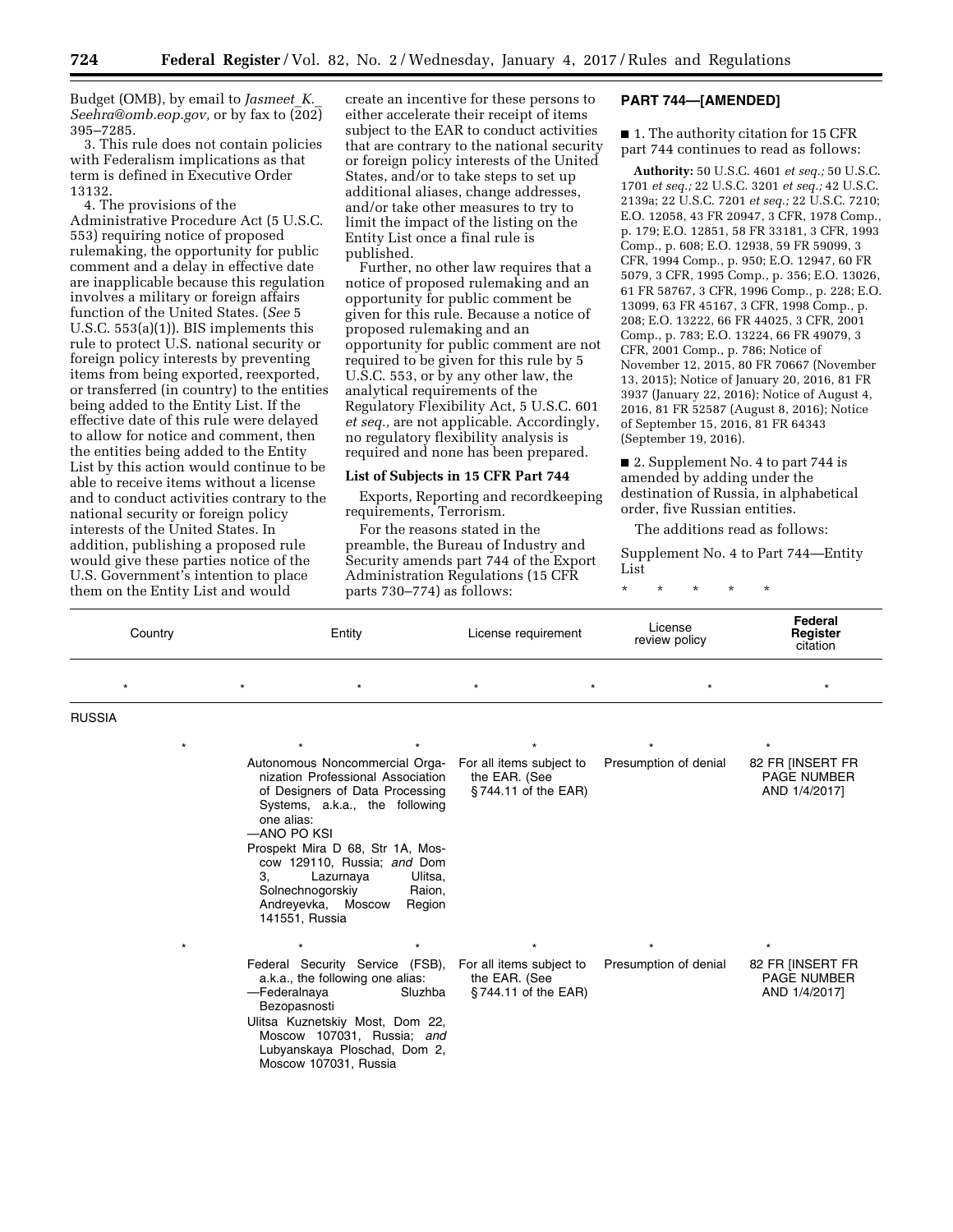Budget (OMB), by email to *[Jasmeet](mailto:Jasmeet_K._Seehra@omb.eop.gov)*\_*K.*\_ *[Seehra@omb.eop.gov,](mailto:Jasmeet_K._Seehra@omb.eop.gov)* or by fax to (202) 395–7285.

3. This rule does not contain policies with Federalism implications as that term is defined in Executive Order 13132.

4. The provisions of the Administrative Procedure Act (5 U.S.C. 553) requiring notice of proposed rulemaking, the opportunity for public comment and a delay in effective date are inapplicable because this regulation involves a military or foreign affairs function of the United States. (*See* 5 U.S.C. 553(a)(1)). BIS implements this rule to protect U.S. national security or foreign policy interests by preventing items from being exported, reexported, or transferred (in country) to the entities being added to the Entity List. If the effective date of this rule were delayed to allow for notice and comment, then the entities being added to the Entity List by this action would continue to be able to receive items without a license and to conduct activities contrary to the national security or foreign policy interests of the United States. In addition, publishing a proposed rule would give these parties notice of the U.S. Government's intention to place them on the Entity List and would

create an incentive for these persons to either accelerate their receipt of items subject to the EAR to conduct activities that are contrary to the national security or foreign policy interests of the United States, and/or to take steps to set up additional aliases, change addresses, and/or take other measures to try to limit the impact of the listing on the Entity List once a final rule is published.

Further, no other law requires that a notice of proposed rulemaking and an opportunity for public comment be given for this rule. Because a notice of proposed rulemaking and an opportunity for public comment are not required to be given for this rule by 5 U.S.C. 553, or by any other law, the analytical requirements of the Regulatory Flexibility Act, 5 U.S.C. 601 *et seq.,* are not applicable. Accordingly, no regulatory flexibility analysis is required and none has been prepared.

# **List of Subjects in 15 CFR Part 744**

Exports, Reporting and recordkeeping requirements, Terrorism.

For the reasons stated in the preamble, the Bureau of Industry and Security amends part 744 of the Export Administration Regulations (15 CFR parts 730–774) as follows:

## **PART 744—[AMENDED]**

■ 1. The authority citation for 15 CFR part 744 continues to read as follows:

**Authority:** 50 U.S.C. 4601 *et seq.;* 50 U.S.C. 1701 *et seq.;* 22 U.S.C. 3201 *et seq.;* 42 U.S.C. 2139a; 22 U.S.C. 7201 *et seq.;* 22 U.S.C. 7210; E.O. 12058, 43 FR 20947, 3 CFR, 1978 Comp., p. 179; E.O. 12851, 58 FR 33181, 3 CFR, 1993 Comp., p. 608; E.O. 12938, 59 FR 59099, 3 CFR, 1994 Comp., p. 950; E.O. 12947, 60 FR 5079, 3 CFR, 1995 Comp., p. 356; E.O. 13026, 61 FR 58767, 3 CFR, 1996 Comp., p. 228; E.O. 13099, 63 FR 45167, 3 CFR, 1998 Comp., p. 208; E.O. 13222, 66 FR 44025, 3 CFR, 2001 Comp., p. 783; E.O. 13224, 66 FR 49079, 3 CFR, 2001 Comp., p. 786; Notice of November 12, 2015, 80 FR 70667 (November 13, 2015); Notice of January 20, 2016, 81 FR 3937 (January 22, 2016); Notice of August 4, 2016, 81 FR 52587 (August 8, 2016); Notice of September 15, 2016, 81 FR 64343 (September 19, 2016).

■ 2. Supplement No. 4 to part 744 is amended by adding under the destination of Russia, in alphabetical order, five Russian entities.

The additions read as follows:

Supplement No. 4 to Part 744—Entity List

\* \* \* \* \*

| Country       |         | Entity                                                                                                                                                                                                                                                                                                                  |                             | License requirement                                              |  | License<br>review policy | Federal<br>Register<br>citation                                    |
|---------------|---------|-------------------------------------------------------------------------------------------------------------------------------------------------------------------------------------------------------------------------------------------------------------------------------------------------------------------------|-----------------------------|------------------------------------------------------------------|--|--------------------------|--------------------------------------------------------------------|
| $\star$       |         | $\star$                                                                                                                                                                                                                                                                                                                 |                             | $\star$                                                          |  |                          |                                                                    |
| <b>RUSSIA</b> |         |                                                                                                                                                                                                                                                                                                                         |                             |                                                                  |  |                          |                                                                    |
|               |         |                                                                                                                                                                                                                                                                                                                         |                             |                                                                  |  |                          |                                                                    |
|               |         | Autonomous Noncommercial Orga-<br>nization Professional Association<br>of Designers of Data Processing<br>Systems, a.k.a., the following<br>one alias:<br>-ANO PO KSI<br>Prospekt Mira D 68, Str 1A, Mos-<br>cow 129110, Russia; and Dom<br>Lazurnaya<br>3.<br>Solnechnogorskiy<br>Andreyevka, Moscow<br>141551, Russia | Ulitsa,<br>Raion,<br>Region | For all items subject to<br>the EAR. (See<br>§744.11 of the EAR) |  | Presumption of denial    | 82 FR [INSERT FR<br><b>PAGE NUMBER</b><br>AND 1/4/2017]            |
|               | $\star$ | Federal Security Service (FSB),<br>a.k.a., the following one alias:<br>-Federalnaya<br>Bezopasnosti<br>Ulitsa Kuznetskiy Most, Dom 22,<br>Moscow 107031, Russia; and<br>Lubyanskaya Ploschad, Dom 2,<br>Moscow 107031. Russia                                                                                           | Sluzhba                     | For all items subject to<br>the EAR. (See<br>§744.11 of the EAR) |  | Presumption of denial    | $\star$<br>82 FR [INSERT FR<br><b>PAGE NUMBER</b><br>AND 1/4/2017] |